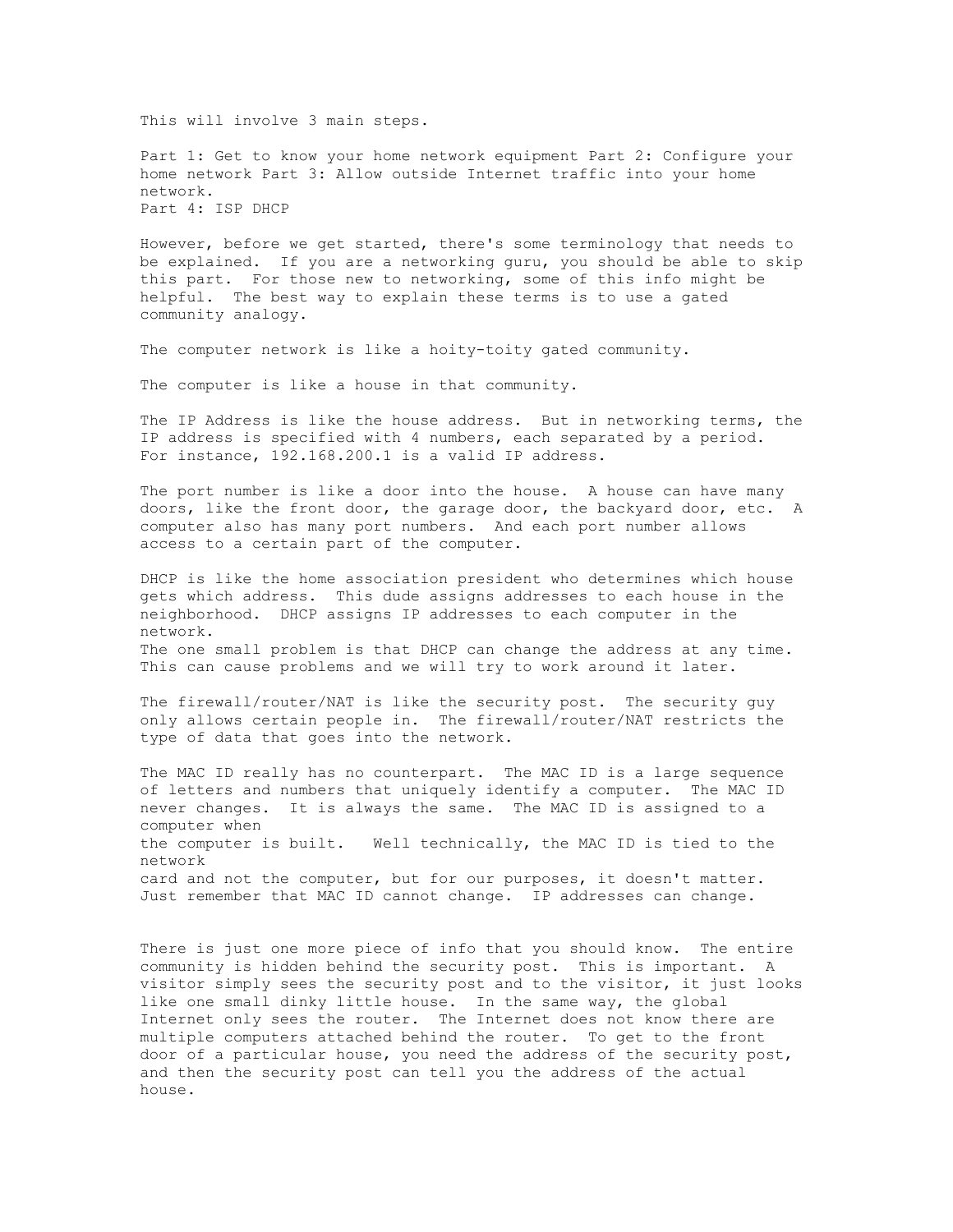This will involve 3 main steps.

Part 1: Get to know your home network equipment Part 2: Configure your home network Part 3: Allow outside Internet traffic into your home network. Part 4: ISP DHCP

However, before we get started, there's some terminology that needs to be explained. If you are a networking guru, you should be able to skip this part. For those new to networking, some of this info might be helpful. The best way to explain these terms is to use a gated community analogy.

The computer network is like a hoity-toity gated community.

The computer is like a house in that community.

The IP Address is like the house address. But in networking terms, the IP address is specified with 4 numbers, each separated by a period. For instance, 192.168.200.1 is a valid IP address.

The port number is like a door into the house. A house can have many doors, like the front door, the garage door, the backyard door, etc. A computer also has many port numbers. And each port number allows access to a certain part of the computer.

DHCP is like the home association president who determines which house gets which address. This dude assigns addresses to each house in the neighborhood. DHCP assigns IP addresses to each computer in the network. The one small problem is that DHCP can change the address at any time. This can cause problems and we will try to work around it later.

The firewall/router/NAT is like the security post. The security guy only allows certain people in. The firewall/router/NAT restricts the type of data that goes into the network.

The MAC ID really has no counterpart. The MAC ID is a large sequence of letters and numbers that uniquely identify a computer. The MAC ID never changes. It is always the same. The MAC ID is assigned to a computer when the computer is built. Well technically, the MAC ID is tied to the network card and not the computer, but for our purposes, it doesn't matter. Just remember that MAC ID cannot change. IP addresses can change.

There is just one more piece of info that you should know. The entire community is hidden behind the security post. This is important. A visitor simply sees the security post and to the visitor, it just looks like one small dinky little house. In the same way, the global Internet only sees the router. The Internet does not know there are multiple computers attached behind the router. To get to the front door of a particular house, you need the address of the security post, and then the security post can tell you the address of the actual house.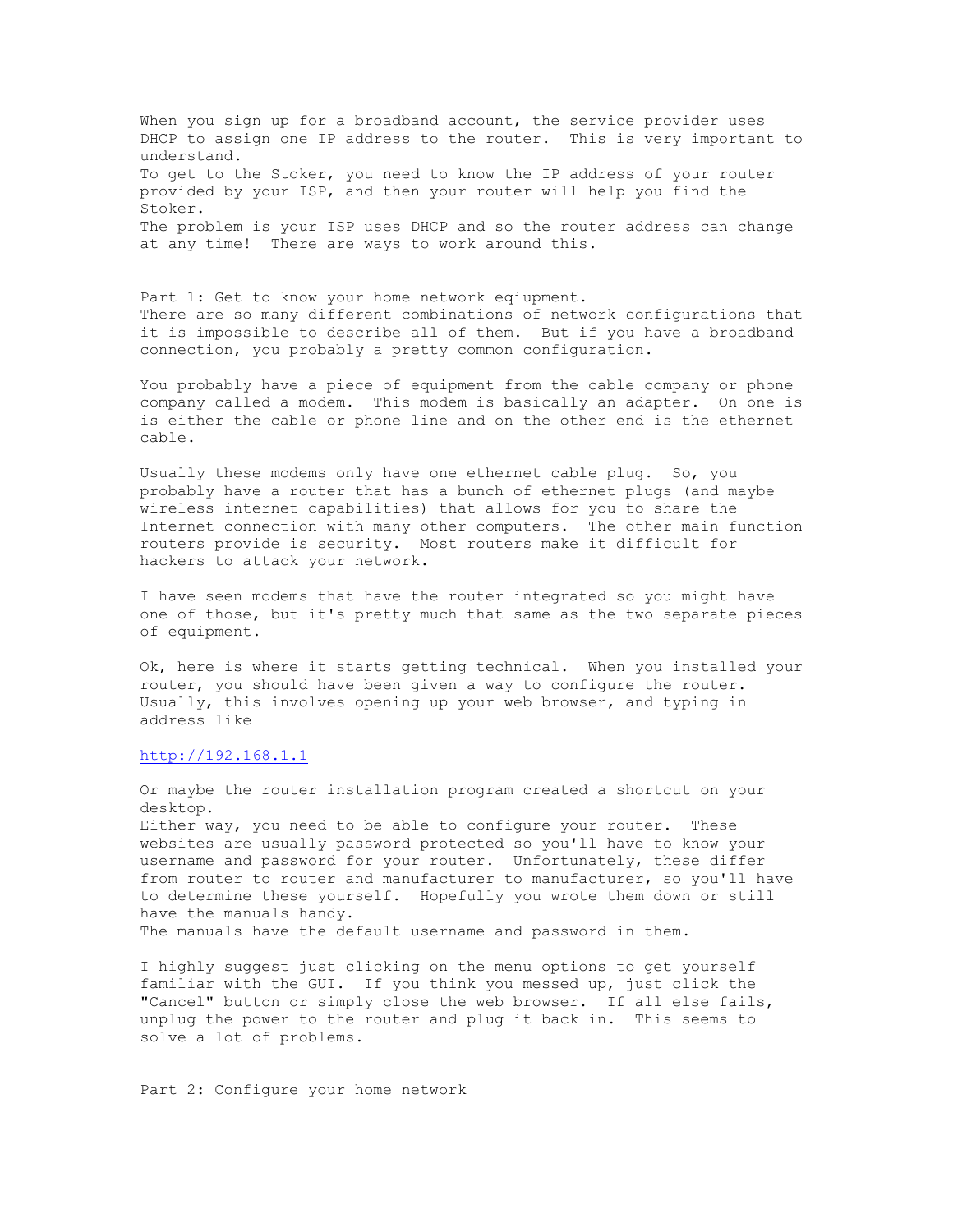When you sign up for a broadband account, the service provider uses DHCP to assign one IP address to the router. This is very important to understand. To get to the Stoker, you need to know the IP address of your router provided by your ISP, and then your router will help you find the Stoker. The problem is your ISP uses DHCP and so the router address can change at any time! There are ways to work around this.

Part 1: Get to know your home network eqiupment. There are so many different combinations of network configurations that it is impossible to describe all of them. But if you have a broadband connection, you probably a pretty common configuration.

You probably have a piece of equipment from the cable company or phone company called a modem. This modem is basically an adapter. On one is is either the cable or phone line and on the other end is the ethernet cable.

Usually these modems only have one ethernet cable plug. So, you probably have a router that has a bunch of ethernet plugs (and maybe wireless internet capabilities) that allows for you to share the Internet connection with many other computers. The other main function routers provide is security. Most routers make it difficult for hackers to attack your network.

I have seen modems that have the router integrated so you might have one of those, but it's pretty much that same as the two separate pieces of equipment.

Ok, here is where it starts getting technical. When you installed your router, you should have been given a way to configure the router. Usually, this involves opening up your web browser, and typing in address like

## http://192.168.1.1

Or maybe the router installation program created a shortcut on your desktop.

Either way, you need to be able to configure your router. These websites are usually password protected so you'll have to know your username and password for your router. Unfortunately, these differ from router to router and manufacturer to manufacturer, so you'll have to determine these yourself. Hopefully you wrote them down or still have the manuals handy.

The manuals have the default username and password in them.

I highly suggest just clicking on the menu options to get yourself familiar with the GUI. If you think you messed up, just click the "Cancel" button or simply close the web browser. If all else fails, unplug the power to the router and plug it back in. This seems to solve a lot of problems.

Part 2: Configure your home network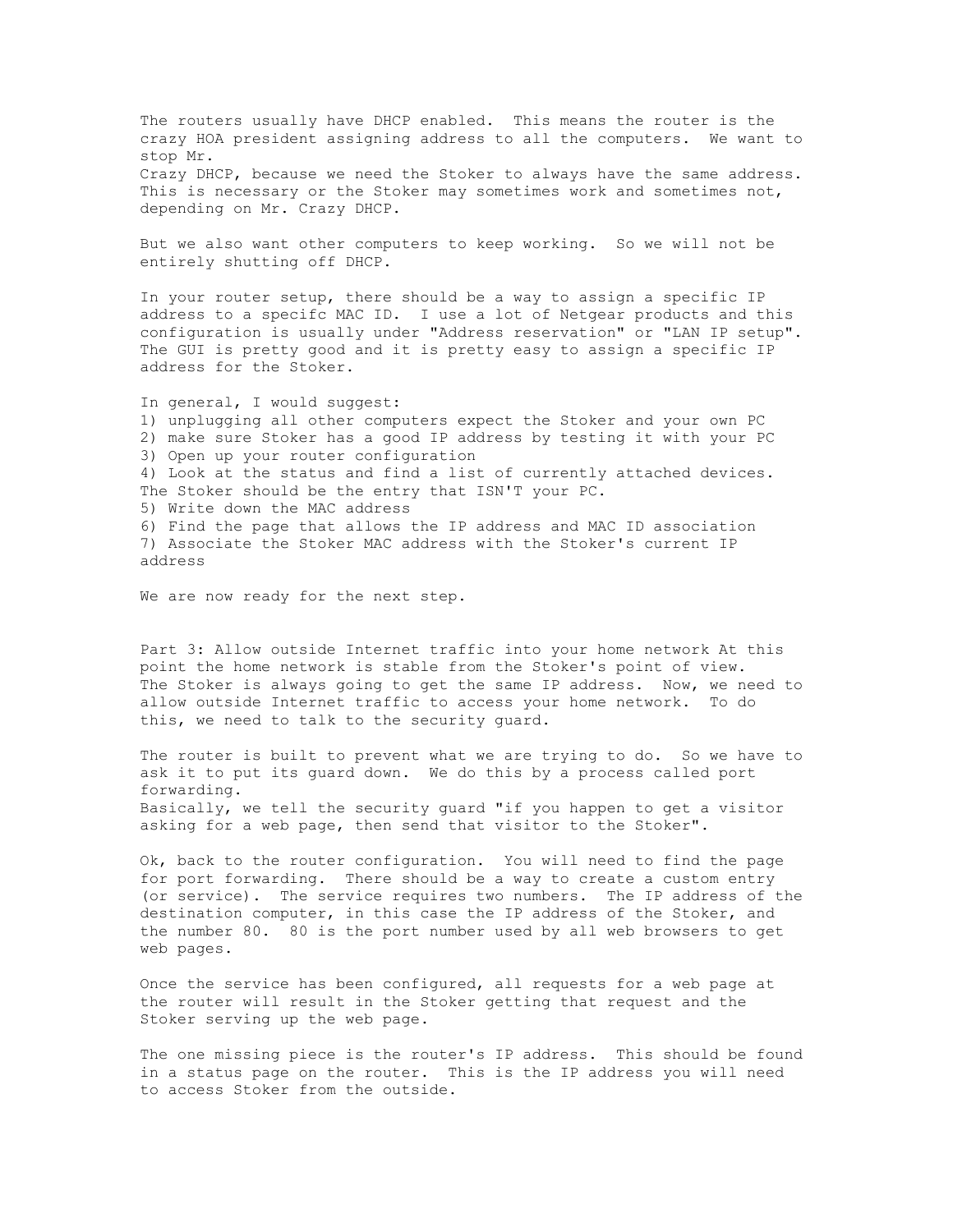The routers usually have DHCP enabled. This means the router is the crazy HOA president assigning address to all the computers. We want to stop Mr. Crazy DHCP, because we need the Stoker to always have the same address. This is necessary or the Stoker may sometimes work and sometimes not, depending on Mr. Crazy DHCP.

But we also want other computers to keep working. So we will not be entirely shutting off DHCP.

In your router setup, there should be a way to assign a specific IP address to a specifc MAC ID. I use a lot of Netgear products and this configuration is usually under "Address reservation" or "LAN IP setup". The GUI is pretty good and it is pretty easy to assign a specific IP address for the Stoker.

In general, I would suggest: 1) unplugging all other computers expect the Stoker and your own PC 2) make sure Stoker has a good IP address by testing it with your PC 3) Open up your router configuration 4) Look at the status and find a list of currently attached devices. The Stoker should be the entry that ISN'T your PC. 5) Write down the MAC address 6) Find the page that allows the IP address and MAC ID association 7) Associate the Stoker MAC address with the Stoker's current IP address

We are now ready for the next step.

Part 3: Allow outside Internet traffic into your home network At this point the home network is stable from the Stoker's point of view. The Stoker is always going to get the same IP address. Now, we need to allow outside Internet traffic to access your home network. To do this, we need to talk to the security guard.

The router is built to prevent what we are trying to do. So we have to ask it to put its guard down. We do this by a process called port forwarding. Basically, we tell the security guard "if you happen to get a visitor asking for a web page, then send that visitor to the Stoker".

Ok, back to the router configuration. You will need to find the page for port forwarding. There should be a way to create a custom entry (or service). The service requires two numbers. The IP address of the destination computer, in this case the IP address of the Stoker, and the number 80. 80 is the port number used by all web browsers to get web pages.

Once the service has been configured, all requests for a web page at the router will result in the Stoker getting that request and the Stoker serving up the web page.

The one missing piece is the router's IP address. This should be found in a status page on the router. This is the IP address you will need to access Stoker from the outside.